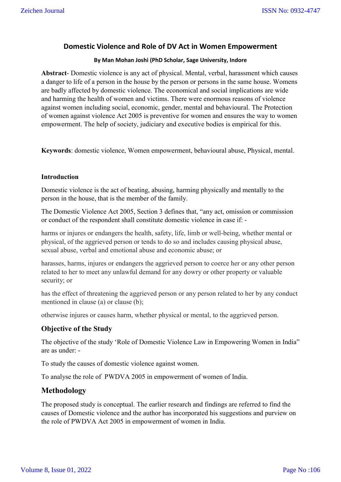# **Domestic Violence and Role of DV Act in Women Empowerment**

#### **By Man Mohan Joshi (PhD Scholar, Sage University, Indore**

**Abstract**- Domestic violence is any act of physical. Mental, verbal, harassment which causes a danger to life of a person in the house by the person or persons in the same house. Womens are badly affected by domestic violence. The economical and social implications are wide and harming the health of women and victims. There were enormous reasons of violence against women including social, economic, gender, mental and behavioural. The Protection of women against violence Act 2005 is preventive for women and ensures the way to women empowerment. The help of society, judiciary and executive bodies is empirical for this.

**Keywords**: domestic violence, Women empowerment, behavioural abuse, Physical, mental.

#### **Introduction**

Domestic violence is the act of beating, abusing, harming physically and mentally to the person in the house, that is the member of the family.

The Domestic Violence Act 2005, Section 3 defines that, "any act, omission or commission or conduct of the respondent shall constitute domestic violence in case if: -

harms or injures or endangers the health, safety, life, limb or well-being, whether mental or physical, of the aggrieved person or tends to do so and includes causing physical abuse, sexual abuse, verbal and emotional abuse and economic abuse; or

harasses, harms, injures or endangers the aggrieved person to coerce her or any other person related to her to meet any unlawful demand for any dowry or other property or valuable security; or

has the effect of threatening the aggrieved person or any person related to her by any conduct mentioned in clause (a) or clause (b);

otherwise injures or causes harm, whether physical or mental, to the aggrieved person.

#### **Objective of the Study**

The objective of the study 'Role of Domestic Violence Law in Empowering Women in India" are as under: -

To study the causes of domestic violence against women.

To analyse the role of PWDVA 2005 in empowerment of women of India.

## **Methodology**

The proposed study is conceptual. The earlier research and findings are referred to find the causes of Domestic violence and the author has incorporated his suggestions and purview on the role of PWDVA Act 2005 in empowerment of women in India.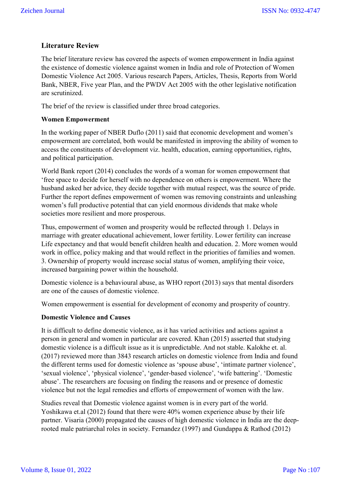# **Literature Review**

The brief literature review has covered the aspects of women empowerment in India against the existence of domestic violence against women in India and role of Protection of Women Domestic Violence Act 2005. Various research Papers, Articles, Thesis, Reports from World Bank, NBER, Five year Plan, and the PWDV Act 2005 with the other legislative notification are scrutinized.

The brief of the review is classified under three broad categories.

### **Women Empowerment**

In the working paper of NBER Duflo (2011) said that economic development and women's empowerment are correlated, both would be manifested in improving the ability of women to access the constituents of development viz. health, education, earning opportunities, rights, and political participation.

World Bank report (2014) concludes the words of a woman for women empowerment that 'free space to decide for herself with no dependence on others is empowerment. Where the husband asked her advice, they decide together with mutual respect, was the source of pride. Further the report defines empowerment of women was removing constraints and unleashing women's full productive potential that can yield enormous dividends that make whole societies more resilient and more prosperous.

Thus, empowerment of women and prosperity would be reflected through 1. Delays in marriage with greater educational achievement, lower fertility. Lower fertility can increase Life expectancy and that would benefit children health and education. 2. More women would work in office, policy making and that would reflect in the priorities of families and women. 3. Ownership of property would increase social status of women, amplifying their voice, increased bargaining power within the household.

Domestic violence is a behavioural abuse, as WHO report (2013) says that mental disorders are one of the causes of domestic violence.

Women empowerment is essential for development of economy and prosperity of country.

## **Domestic Violence and Causes**

It is difficult to define domestic violence, as it has varied activities and actions against a person in general and women in particular are covered. Khan (2015) asserted that studying domestic violence is a difficult issue as it is unpredictable. And not stable. Kalokhe et. al. (2017) reviewed more than 3843 research articles on domestic violence from India and found the different terms used for domestic violence as 'spouse abuse', 'intimate partner violence', 'sexual violence', 'physical violence', 'gender-based violence', 'wife battering'. 'Domestic abuse'. The researchers are focusing on finding the reasons and or presence of domestic violence but not the legal remedies and efforts of empowerment of women with the law.

Studies reveal that Domestic violence against women is in every part of the world. Yoshikawa et.al (2012) found that there were 40% women experience abuse by their life partner. Visaria (2000) propagated the causes of high domestic violence in India are the deeprooted male patriarchal roles in society. Fernandez (1997) and Gundappa & Rathod (2012)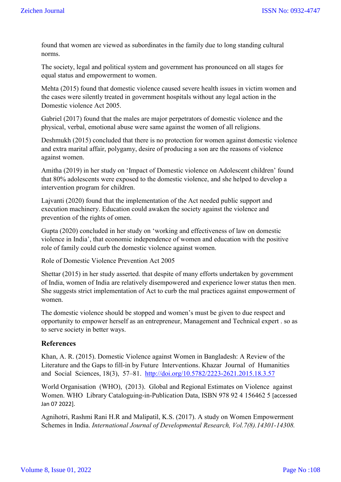found that women are viewed as subordinates in the family due to long standing cultural norms.

The society, legal and political system and government has pronounced on all stages for equal status and empowerment to women.

Mehta (2015) found that domestic violence caused severe health issues in victim women and the cases were silently treated in government hospitals without any legal action in the Domestic violence Act 2005.

Gabriel (2017) found that the males are major perpetrators of domestic violence and the physical, verbal, emotional abuse were same against the women of all religions.

Deshmukh (2015) concluded that there is no protection for women against domestic violence and extra marital affair, polygamy, desire of producing a son are the reasons of violence against women.

Amitha (2019) in her study on 'Impact of Domestic violence on Adolescent children' found that 80% adolescents were exposed to the domestic violence, and she helped to develop a intervention program for children.

Lajvanti (2020) found that the implementation of the Act needed public support and execution machinery. Education could awaken the society against the violence and prevention of the rights of omen.

Gupta (2020) concluded in her study on 'working and effectiveness of law on domestic violence in India', that economic independence of women and education with the positive role of family could curb the domestic violence against women.

Role of Domestic Violence Prevention Act 2005

Shettar (2015) in her study asserted. that despite of many efforts undertaken by government of India, women of India are relatively disempowered and experience lower status then men. She suggests strict implementation of Act to curb the mal practices against empowerment of women.

The domestic violence should be stopped and women's must be given to due respect and opportunity to empower herself as an entrepreneur, Management and Technical expert . so as to serve society in better ways.

#### **References**

Khan, A. R. (2015). Domestic Violence against Women in Bangladesh: A Review of the Literature and the Gaps to fill-in by Future Interventions. Khazar Journal of Humanities and Social Sciences, 18(3), 57–81. http://doi.org/10.5782/2223-2621.2015.18.3.57

World Organisation (WHO), (2013). Global and Regional Estimates on Violence against Women. WHO Library Cataloguing-in-Publication Data, ISBN 978 92 4 156462 5 [accessed Jan 07 2022].

Agnihotri, Rashmi Rani H.R and Malipatil, K.S. (2017). A study on Women Empowerment Schemes in India. *International Journal of Developmental Research, Vol.7(8).14301-14308.*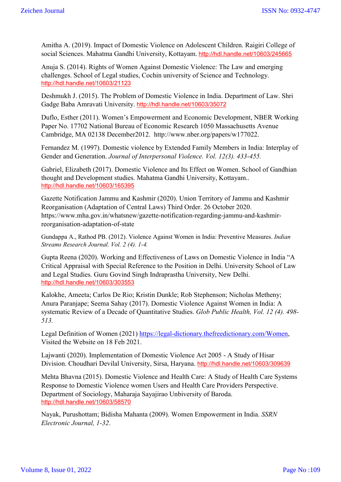Amitha A. (2019). Impact of Domestic Violence on Adolescent Children. Raigiri College of social Sciences. Mahatma Gandhi University, Kottayam. http://hdl.handle.net/10603/245665

Anuja S. (2014). Rights of Women Against Domestic Violence: The Law and emerging challenges. School of Legal studies, Cochin university of Science and Technology. http://hdl.handle.net/10603/21123

Deshmukh J. (2015). The Problem of Domestic Violence in India. Department of Law. Shri Gadge Baba Amravati University. http://hdl.handle.net/10603/35072

Duflo, Esther (2011). Women's Empowerment and Economic Development, NBER Working Paper No. 17702 National Bureau of Economic Research 1050 Massachusetts Avenue Cambridge, MA 02138 December2012. http://www.nber.org/papers/w177022.

Fernandez M. (1997). Domestic violence by Extended Family Members in India: Interplay of Gender and Generation. *Journal of Interpersonal Violence. Vol. 12(3). 433-455.*

Gabriel, Elizabeth (2017). Domestic Violence and Its Effect on Women. School of Gandhian thought and Development studies. Mahatma Gandhi University, Kottayam.. http://hdl.handle.net/10603/165395

Gazette Notification Jammu and Kashmir (2020). Union Territory of Jammu and Kashmir Reorganisation (Adaptation of Central Laws) Third Order. 26 October 2020. https://www.mha.gov.in/whatsnew/gazette-notification-regarding-jammu-and-kashmirreorganisation-adaptation-of-state

Gundappa A., Rathod PB. (2012). Violence Against Women in India: Preventive Measures. *Indian Streams Research Journal. Vol. 2 (4). 1-4.*

Gupta Reena (2020). Working and Effectiveness of Laws on Domestic Violence in India "A Critical Appraisal with Special Reference to the Position in Delhi. University School of Law and Legal Studies. Guru Govind Singh Indraprastha University, New Delhi. http://hdl.handle.net/10603/303553

Kalokhe, Ameeta; Carlos De Rio; Kristin Dunkle; Rob Stephenson; Nicholas Metheny; Anura Paranjape; Seema Sahay (2017). Domestic Violence Against Women in India: A systematic Review of a Decade of Quantitative Studies. *Glob Public Health, Vol. 12 (4). 498- 513.*

Legal Definition of Women (2021) https://legal-dictionary.thefreedictionary.com/Women, Visited the Website on 18 Feb 2021.

Lajwanti (2020). Implementation of Domestic Violence Act 2005 - A Study of Hisar Division. Choudhari Devilal University, Sirsa, Haryana. http://hdl.handle.net/10603/309639

Mehta Bhavna (2015). Domestic Violence and Health Care: A Study of Health Care Systems Response to Domestic Violence women Users and Health Care Providers Perspective. Department of Sociology, Maharaja Sayajirao Unbiversity of Baroda. http://hdl.handle.net/10603/58570

Nayak, Purushottam; Bidisha Mahanta (2009). Women Empowerment in India. *SSRN Electronic Journal, 1-32*.